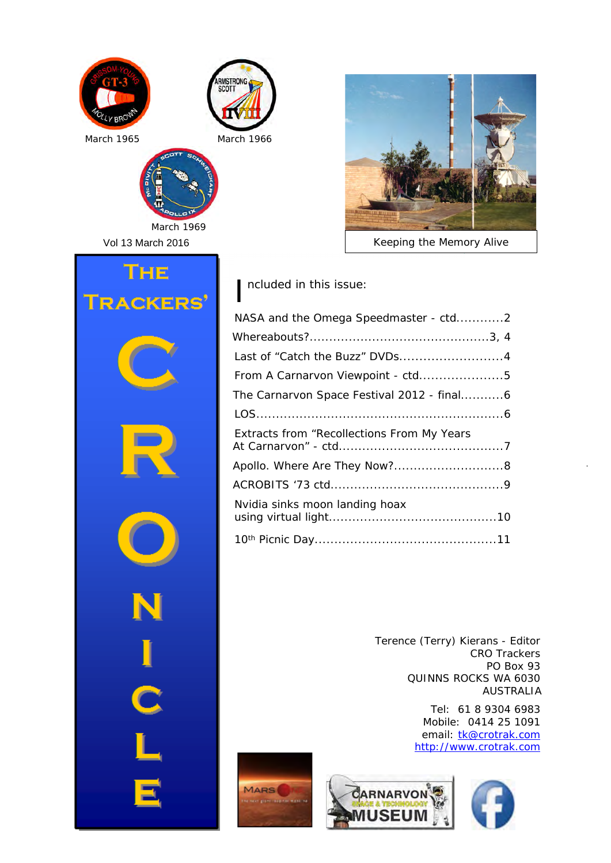





*Keeping the Memory Alive*

Vol 13 March 2016 THE **RACKERS** 

*March 1969*

I ncluded in this issue:

| NASA and the Omega Speedmaster - ctd2      |  |
|--------------------------------------------|--|
|                                            |  |
|                                            |  |
| From A Carnarvon Viewpoint - ctd5          |  |
| The Carnarvon Space Festival 2012 - final6 |  |
|                                            |  |
| Extracts from "Recollections From My Years |  |
|                                            |  |
|                                            |  |
| Nvidia sinks moon landing hoax             |  |
|                                            |  |

Terence (Terry) Kierans - Editor CRO Trackers PO Box 93 QUINNS ROCKS WA 6030 AUSTRALIA

> Tel: 61 8 9304 6983 Mobile: 0414 25 1091 email: tk@crotrak.com http://www.crotrak.com



MARS<sup>(</sup>

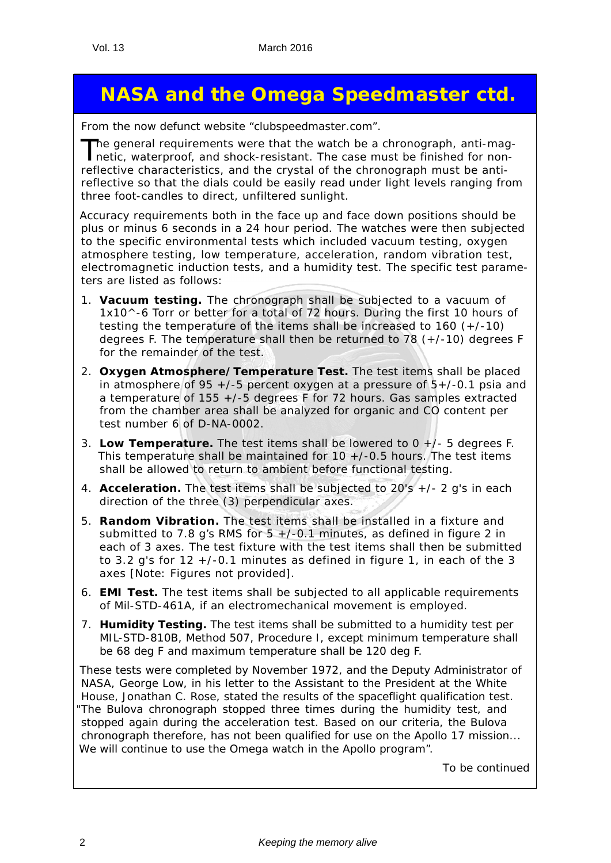# **NASA and the Omega Speedmaster ctd.**

*From the now defunct website "clubspeedmaster.com".*

The general requirements were that the watch be a chronograph, anti-mag-<br>netic, waterproof, and shock-resistant. The case must be finished for nonreflective characteristics, and the crystal of the chronograph must be antireflective so that the dials could be easily read under light levels ranging from three foot-candles to direct, unfiltered sunlight.

Accuracy requirements both in the face up and face down positions should be plus or minus 6 seconds in a 24 hour period. The watches were then subjected to the specific environmental tests which included vacuum testing, oxygen atmosphere testing, low temperature, acceleration, random vibration test, electromagnetic induction tests, and a humidity test. The specific test parameters are listed as follows:

- 1. **Vacuum testing.** The chronograph shall be subjected to a vacuum of 1x10^-6 Torr or better for a total of 72 hours. During the first 10 hours of testing the temperature of the items shall be increased to 160 (+/-10) degrees F. The temperature shall then be returned to 78  $(+/-10)$  degrees F for the remainder of the test.
- 2. **Oxygen Atmosphere/Temperature Test.** The test items shall be placed in atmosphere of 95  $+/-5$  percent oxygen at a pressure of  $5+/-0.1$  psia and a temperature of 155 +/-5 degrees F for 72 hours. Gas samples extracted from the chamber area shall be analyzed for organic and CO content per test number 6 of D-NA-0002.
- 3. **Low Temperature.** The test items shall be lowered to 0 +/- 5 degrees F. This temperature shall be maintained for  $10 + (-0.5$  hours. The test items shall be allowed to return to ambient before functional testing.
- 4. **Acceleration.** The test items shall be subjected to 20's +/- 2 g's in each direction of the three (3) perpendicular axes.
- 5. **Random Vibration.** The test items shall be installed in a fixture and submitted to 7.8 g's RMS for  $5 + (-0.1 \text{ minutes})$ , as defined in figure 2 in each of 3 axes. The test fixture with the test items shall then be submitted to 3.2 g's for  $12 + (-0.1)$  minutes as defined in figure 1, in each of the 3 axes [Note: Figures not provided].
- 6. **EMI Test.** The test items shall be subjected to all applicable requirements of Mil-STD-461A, if an electromechanical movement is employed.
- 7. **Humidity Testing.** The test items shall be submitted to a humidity test per MIL-STD-810B, Method 507, Procedure I, except minimum temperature shall be 68 deg F and maximum temperature shall be 120 deg F.

These tests were completed by November 1972, and the Deputy Administrator of NASA, George Low, in his letter to the Assistant to the President at the White House, Jonathan C. Rose, stated the results of the spaceflight qualification test. "*The Bulova chronograph stopped three times during the humidity test, and stopped again during the acceleration test. Based on our criteria, the Bulova chronograph therefore, has not been qualified for use on the Apollo 17 mission... We will continue to use the Omega watch in the Apollo program*".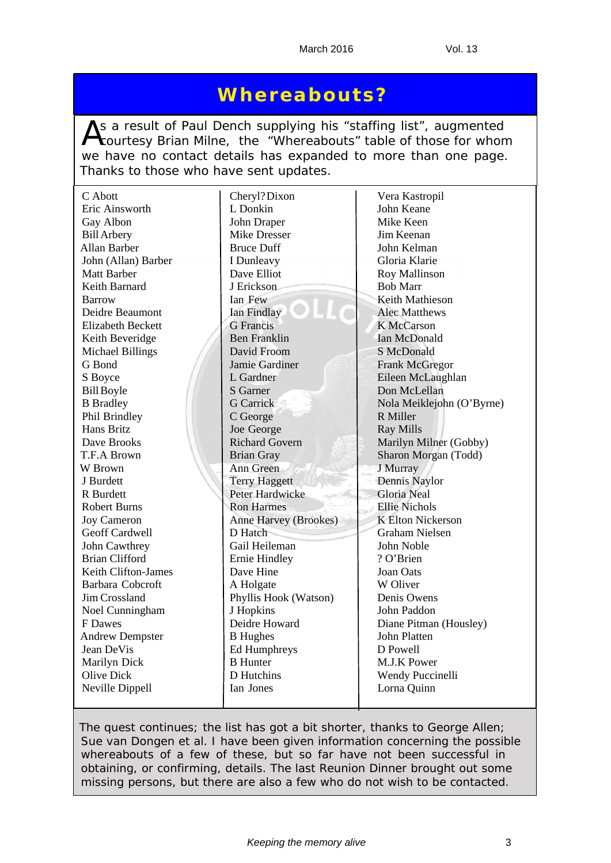# **Whereabouts?**

As a result of Paul Dench supplying his "staffing list", augmented<br>
Courtesy Brian Milne, the "Whereabouts" table of those for whom we have no contact details has expanded to more than one page. Thanks to those who have sent updates.

| C Abott                   | Cheryl? Dixon         | Vera Kastropil            |
|---------------------------|-----------------------|---------------------------|
| Eric Ainsworth            | L Donkin              | John Keane                |
| Gay Albon                 | John Draper           | Mike Keen                 |
| <b>Bill Arbery</b>        | <b>Mike Dresser</b>   | Jim Keenan                |
| Allan Barber              | <b>Bruce Duff</b>     | John Kelman               |
| John (Allan) Barber       | I Dunleavy            | Gloria Klarie             |
| <b>Matt Barber</b>        | Dave Elliot           | <b>Roy Mallinson</b>      |
| Keith Barnard             | J Erickson            | <b>Bob Marr</b>           |
|                           | Ian Few               | <b>Keith Mathieson</b>    |
| Barrow<br>Deidre Beaumont | Ian Findlay           | <b>Alec Matthews</b>      |
|                           |                       |                           |
| <b>Elizabeth Beckett</b>  | <b>G</b> Francis      | <b>K</b> McCarson         |
| Keith Beveridge           | <b>Ben Franklin</b>   | Ian McDonald              |
| <b>Michael Billings</b>   | David Froom           | S McDonald                |
| G Bond                    | Jamie Gardiner        | <b>Frank McGregor</b>     |
| S Boyce                   | L Gardner             | Eileen McLaughlan         |
| <b>Bill Boyle</b>         | S Garner              | Don McLellan              |
| <b>B</b> Bradley          | <b>G</b> Carrick      | Nola Meiklejohn (O'Byrne) |
| Phil Brindley             | C George              | R Miller                  |
| Hans Britz                | Joe George            | <b>Ray Mills</b>          |
| Dave Brooks               | <b>Richard Govern</b> | Marilyn Milner (Gobby)    |
| T.F.A Brown               | <b>Brian Gray</b>     | Sharon Morgan (Todd)      |
| W Brown                   | Ann Green             | J Murray                  |
| J Burdett                 | <b>Terry Haggett</b>  | Dennis Naylor             |
| R Burdett                 | Peter Hardwicke       | <b>Gloria Neal</b>        |
| <b>Robert Burns</b>       | <b>Ron Harmes</b>     | <b>Ellie Nichols</b>      |
| <b>Joy Cameron</b>        | Anne Harvey (Brookes) | <b>K Elton Nickerson</b>  |
| Geoff Cardwell            | D Hatch               | <b>Graham Nielsen</b>     |
| John Cawthrey             | Gail Heileman         | John Noble                |
| <b>Brian Clifford</b>     | Ernie Hindley         | ? O'Brien                 |
| Keith Clifton-James       | Dave Hine             | Joan Oats                 |
| Barbara Cobcroft          | A Holgate             | W Oliver                  |
| Jim Crossland             | Phyllis Hook (Watson) | Denis Owens               |
| Noel Cunningham           | J Hopkins             | John Paddon               |
| F Dawes                   | Deidre Howard         | Diane Pitman (Housley)    |
| <b>Andrew Dempster</b>    | <b>B</b> Hughes       | John Platten              |
| Jean DeVis                | Ed Humphreys          | D Powell                  |
| Marilyn Dick              | <b>B</b> Hunter       | M.J.K Power               |
| <b>Olive Dick</b>         | D Hutchins            | Wendy Puccinelli          |
| Neville Dippell           | Ian Jones             | Lorna Quinn               |
|                           |                       |                           |

*The quest continues; the list has got a bit shorter, thanks to George Allen; Sue van Dongen et al. I have been given information concerning the possible whereabouts of a few of these, but so far have not been successful in obtaining, or confirming, details. The last Reunion Dinner brought out some missing persons, but there are also a few who do not wish to be contacted.*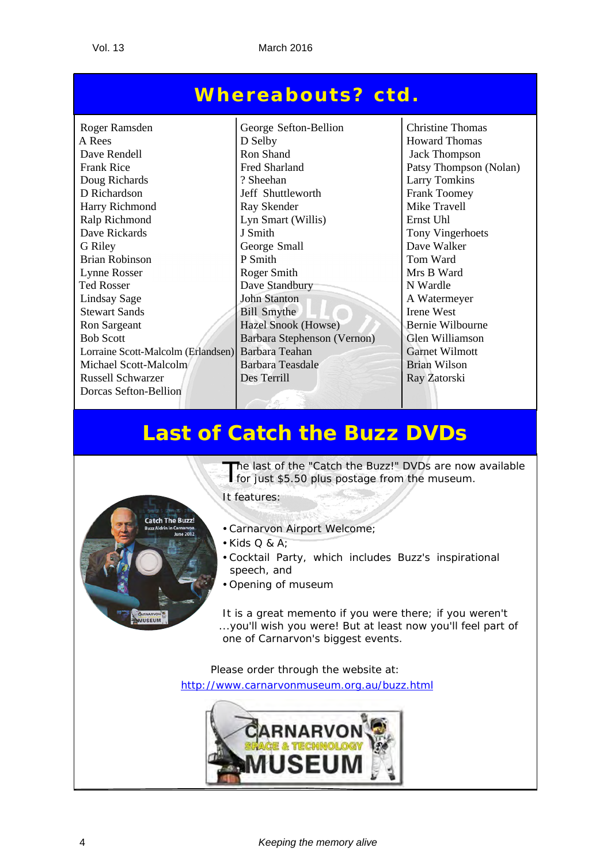# **Whereabouts? ctd.**

Roger Ramsden George Sefton-Bellion Christine Thomas A Rees D Selby Howard Thomas Dave Rendell Ron Shand Jack Thompson<br>Frank Rice Fred Sharland Patsy Thompson Frank Rice Fred Sharland Patsy Thompson (Nolan) Doug Richards ? Sheehan Larry Tomkins D Richardson Jeff Shuttleworth Frank Toomey Harry Richmond Ray Skender Mike Travell Ralp Richmond Lyn Smart (Willis) Ernst Uhl Dave Rickards J Smith Tony Vingerhoets G Riley George Small Dave Walker Brian Robinson P Smith P Smith P Smith Tom Ward Lynne Rosser Roger Smith Nrs B Ward Ted Rosser Dave Standbury N Wardle Lindsay Sage John Stanton A Watermeyer Stewart Sands Bill Smythe Irene West Ron Sargeant Hazel Snook (Howse) Bernie Wilbourne Bob Scott Barbara Stephenson (Vernon) Glen Williamson Lorraine Scott-Malcolm (Erlandsen) Barbara Teahan Garnet Wilmott<br>Michael Scott-Malcolm Barbara Teasdale Brian Wilson Michael Scott-Malcolm Russell Schwarzer Des Terrill Ray Zatorski Dorcas Sefton-Bellion  $\overline{a}$ 

# **Last of Catch the Buzz DVDs**



The last of the "Catch the Buzz!" DVDs are now available for just \$5.50 plus postage from the museum.

It features:

- Carnarvon Airport Welcome;
- $\bullet$  Kids Q & A:
- Cocktail Party, which includes Buzz's inspirational speech, and
- Opening of museum

It is a great memento if you were there; if you weren't ...you'll wish you were! But at least now you'll feel part of one of Carnarvon's biggest events.

Please order through the website at: http://www.carnarvonmuseum.org.au/buzz.html

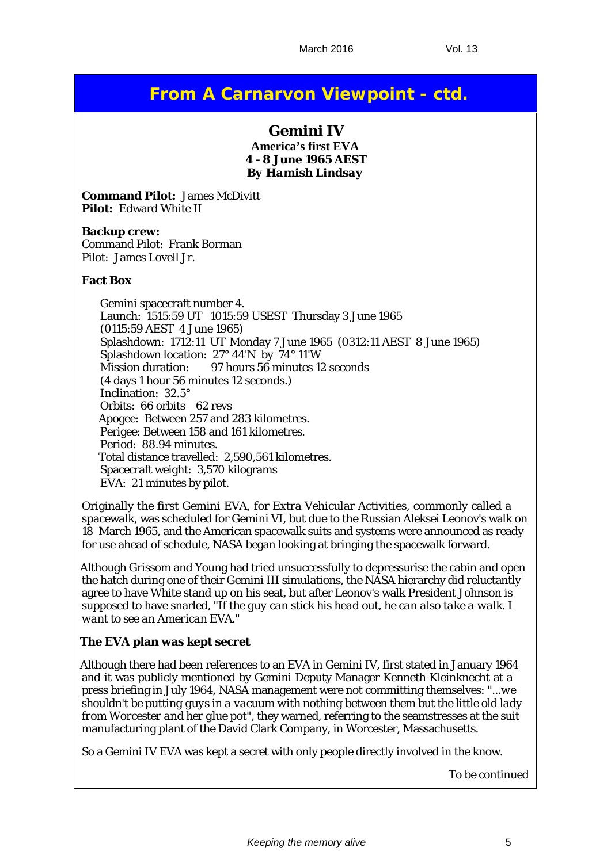# **From A Carnarvon Viewpoint - ctd.**

## **Gemini IV**

**America's first EVA 4 - 8 June 1965 AEST** *By Hamish Lindsay*

**Command Pilot:** James McDivitt **Pilot:** Edward White II

**Backup crew:** Command Pilot: Frank Borman Pilot: James Lovell Jr.

#### **Fact Box**

Gemini spacecraft number 4. Launch: 1515:59 UT 1015:59 USEST Thursday 3 June 1965 (0115:59 AEST 4 June 1965) Splashdown: 1712:11 UT Monday 7 June 1965 (0312:11 AEST 8 June 1965) Splashdown location: 27° 44'N by 74° 11'W Mission duration: 97 hours 56 minutes 12 seconds (4 days 1 hour 56 minutes 12 seconds.) Inclination: 32.5° Orbits: 66 orbits 62 revs Apogee: Between 257 and 283 kilometres. Perigee: Between 158 and 161 kilometres. Period: 88.94 minutes. Total distance travelled: 2,590,561 kilometres. Spacecraft weight: 3,570 kilograms EVA: 21 minutes by pilot.

Originally the first Gemini EVA, for Extra Vehicular Activities, commonly called a spacewalk, was scheduled for Gemini VI, but due to the Russian Aleksei Leonov's walk on 18 March 1965, and the American spacewalk suits and systems were announced as ready for use ahead of schedule, NASA began looking at bringing the spacewalk forward.

Although Grissom and Young had tried unsuccessfully to depressurise the cabin and open the hatch during one of their Gemini III simulations, the NASA hierarchy did reluctantly agree to have White stand up on his seat, but after Leonov's walk President Johnson is supposed to have snarled, "*If the guy can stick his head out, he can also take a walk. I want to see an American EVA.*"

## **The EVA plan was kept secret**

Although there had been references to an EVA in Gemini IV, first stated in January 1964 and it was publicly mentioned by Gemini Deputy Manager Kenneth Kleinknecht at a press briefing in July 1964, NASA management were not committing themselves: "*...we shouldn't be putting guys in a vacuum with nothing between them but the little old lady from Worcester and her glue pot*", they warned, referring to the seamstresses at the suit manufacturing plant of the David Clark Company, in Worcester, Massachusetts.

So a Gemini IV EVA was kept a secret with only people directly involved in the know.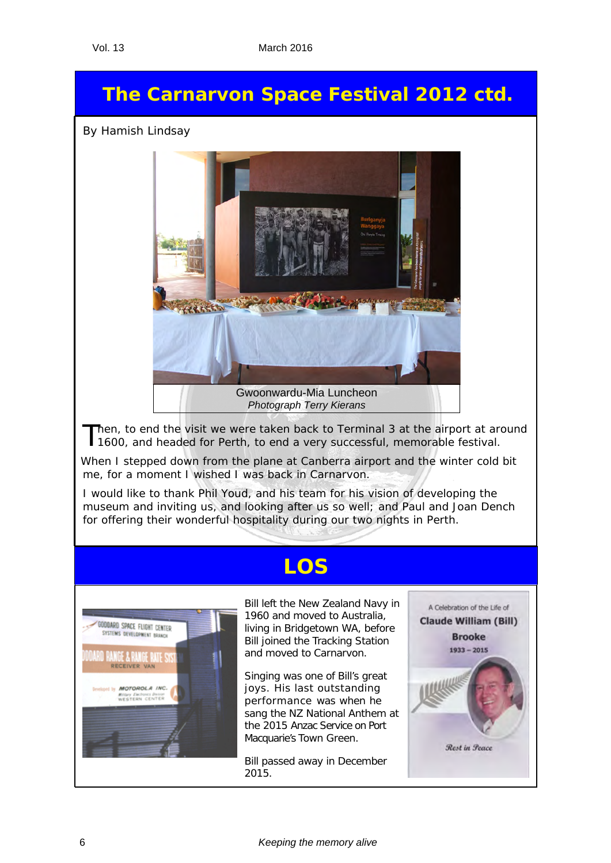# **The Carnarvon Space Festival 2012 ctd.**

*By Hamish Lindsay*



*Photograph Terry Kierans*

Then, to end the visit we were taken back to Terminal 3 at the airport at around 1600, and headed for Perth, to end a very successful, memorable festival.

When I stepped down from the plane at Canberra airport and the winter cold bit me, for a moment I wished I was back in Carnarvon.

I would like to thank Phil Youd, and his team for his vision of developing the museum and inviting us, and looking after us so well; and Paul and Joan Dench for offering their wonderful hospitality during our two nights in Perth.

# **LOS**



Bill left the New Zealand Navy in 1960 and moved to Australia, living in Bridgetown WA, before Bill joined the Tracking Station and moved to Carnarvon.

Singing was one of Bill's great joys. His last outstanding performance was when he sang the NZ National Anthem at the 2015 Anzac Service on Port Macquarie's Town Green.

Bill passed away in December 2015.

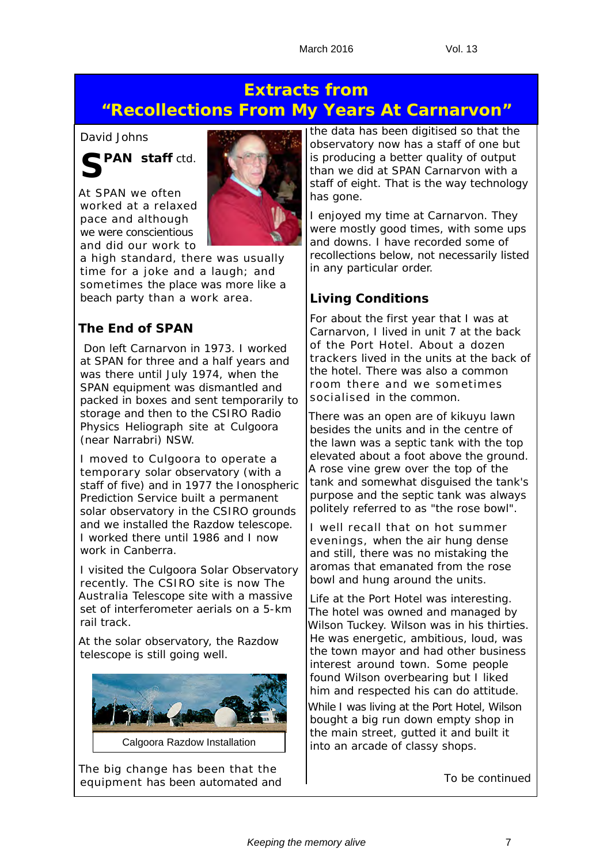# **Extracts from "Recollections From My Years At Carnarvon"**

## *David Johns*



At SPAN we often worked at a relaxed pace and although we were conscientious and did our work to



a high standard, there was usually time for a joke and a laugh; and sometimes the place was more like a beach party than a work area.

## **The End of SPAN**

 Don left Carnarvon in 1973. I worked at SPAN for three and a half years and was there until July 1974, when the SPAN equipment was dismantled and packed in boxes and sent temporarily to storage and then to the CSIRO Radio Physics Heliograph site at Culgoora (near Narrabri) NSW.

I moved to Culgoora to operate a temporary solar observatory (with a staff of five) and in 1977 the Ionospheric Prediction Service built a permanent solar observatory in the CSIRO grounds and we installed the Razdow telescope. I worked there until 1986 and I now work in Canberra.

I visited the Culgoora Solar Observatory recently. The CSIRO site is now The Australia Telescope site with a massive set of interferometer aerials on a 5-km rail track.

At the solar observatory, the Razdow telescope is still going well.



Calgoora Razdow Installation

The big change has been that the equipment has been automated and the data has been digitised so that the observatory now has a staff of one but is producing a better quality of output than we did at SPAN Carnarvon with a staff of eight. That is the way technology has gone.

I enjoyed my time at Carnarvon. They were mostly good times, with some ups and downs. I have recorded some of recollections below, not necessarily listed in any particular order.

# **Living Conditions**

For about the first year that I was at Carnarvon, I lived in unit 7 at the back of the Port Hotel. About a dozen trackers lived in the units at the back of the hotel. There was also a common room there and we sometimes socialised in the common.

There was an open are of kikuyu lawn besides the units and in the centre of the lawn was a septic tank with the top elevated about a foot above the ground. A rose vine grew over the top of the tank and somewhat disguised the tank's purpose and the septic tank was always politely referred to as "*the rose bowl*".

I well recall that on hot summer evenings, when the air hung dense and still, there was no mistaking the aromas that emanated from the rose bowl and hung around the units.

Life at the Port Hotel was interesting. The hotel was owned and managed by Wilson Tuckey. Wilson was in his thirties. He was energetic, ambitious, loud, was the town mayor and had other business interest around town. Some people found Wilson overbearing but I liked him and respected his can do attitude.

While I was living at the Port Hotel, Wilson bought a big run down empty shop in the main street, gutted it and built it into an arcade of classy shops.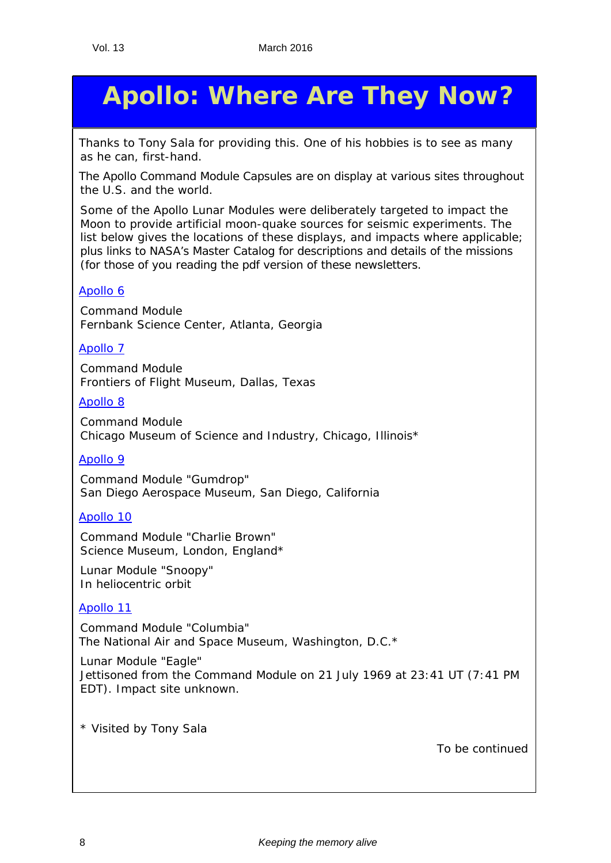# **Apollo: Where Are They Now?**

*Thanks to Tony Sala for providing this. One of his hobbies is to see as many as he can, first-hand.*

The Apollo Command Module Capsules are on display at various sites throughout the U.S. and the world.

Some of the Apollo Lunar Modules were deliberately targeted to impact the Moon to provide artificial moon-quake sources for seismic experiments. The list below gives the locations of these displays, and impacts where applicable; plus links to NASA's *Master Catalog* for descriptions and details of the missions (for those of you reading the pdf version of these newsletters.

## [Apollo 6](http://nssdc.gsfc.nasa.gov/database/MasterCatalog?sc=1968-025A)

Command Module Fernbank Science Center, Atlanta, Georgia

## [Apollo 7](http://nssdc.gsfc.nasa.gov/database/MasterCatalog?sc=1968-089A)

Command Module Frontiers of Flight Museum, Dallas, Texas

## [Apollo 8](http://nssdc.gsfc.nasa.gov/database/MasterCatalog?sc=1968-118A)

Command Module Chicago Museum of Science and Industry, Chicago, Illinois\*

## [Apollo 9](http://nssdc.gsfc.nasa.gov/database/MasterCatalog?sc=1969-018A)

Command Module "Gumdrop" San Diego Aerospace Museum, San Diego, California

## [Apollo 10](http://nssdc.gsfc.nasa.gov/database/MasterCatalog?sc=1969-043A)

Command Module "Charlie Brown" Science Museum, London, England\*

Lunar Module "Snoopy" In heliocentric orbit

## [Apollo 11](http://nssdc.gsfc.nasa.gov/database/MasterCatalog?sc=1969-059A)

Command Module "Columbia" The National Air and Space Museum, Washington, D.C.\*

Lunar Module "Eagle" Jettisoned from the Command Module on 21 July 1969 at 23:41 UT (7:41 PM EDT). Impact site unknown.

\* Visited by Tony Sala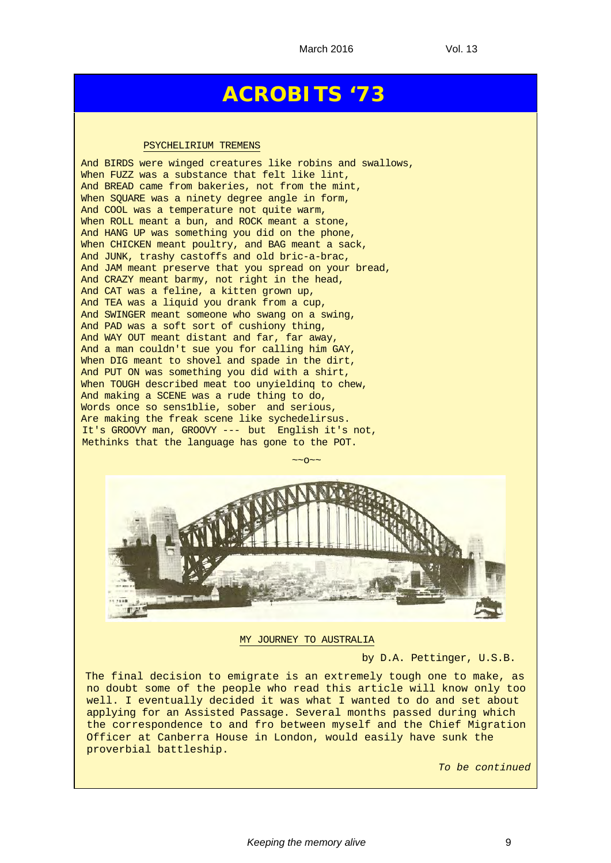# **ACROBITS '73**

#### PSYCHELIRIUM TREMENS

And BIRDS were winged creatures like robins and swallows, When FUZZ was a substance that felt like lint, And BREAD came from bakeries, not from the mint, When SQUARE was a ninety degree angle in form, And COOL was a temperature not quite warm, When ROLL meant a bun, and ROCK meant a stone, And HANG UP was something you did on the phone, When CHICKEN meant poultry, and BAG meant a sack, And JUNK, trashy castoffs and old bric-a-brac, And JAM meant preserve that you spread on your bread, And CRAZY meant barmy, not right in the head, And CAT was a feline, a kitten grown up, And TEA was a liquid you drank from a cup, And SWINGER meant someone who swang on a swing, And PAD was a soft sort of cushiony thing, And WAY OUT meant distant and far, far away, And a man couldn't sue you for calling him GAY, When DIG meant to shovel and spade in the dirt, And PUT ON was something you did with a shirt, When TOUGH described meat too unyielding to chew, And making a SCENE was a rude thing to do, Words once so sens1blie, sober and serious, Are making the freak scene like sychedelirsus. It's GROOVY man, GROOVY --- but English it's not, Methinks that the language has gone to the POT.



MY JOURNEY TO AUSTRALIA

by D.A. Pettinger, U.S.B.

The final decision to emigrate is an extremely tough one to make, as no doubt some of the people who read this article will know only too well. I eventually decided it was what I wanted to do and set about applying for an Assisted Passage. Several months passed during which the correspondence to and fro between myself and the Chief Migration Officer at Canberra House in London, would easily have sunk the proverbial battleship.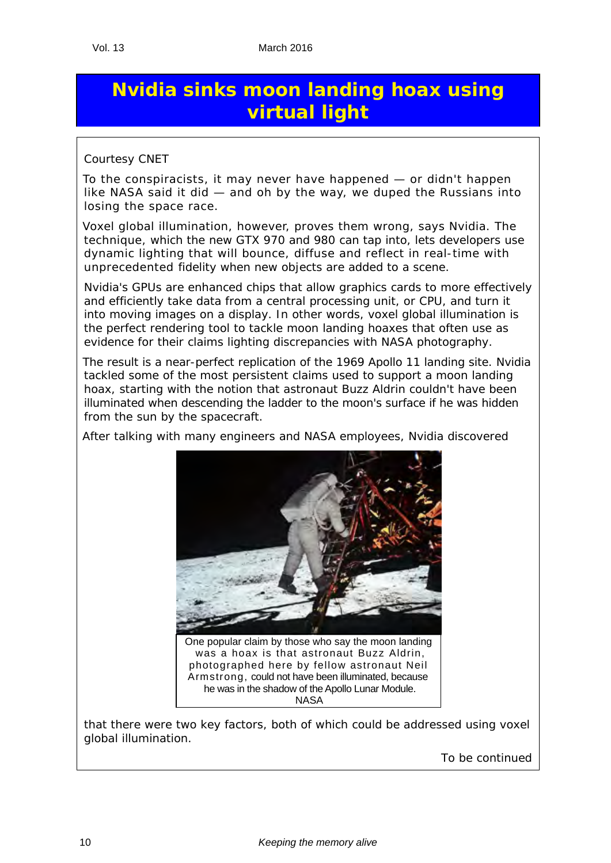# **Nvidia sinks moon landing hoax using virtual light**

## *Courtesy CNET*

To the conspiracists, it may never have happened — or didn't happen like NASA said it did — and oh by the way, we duped the Russians into losing the space race.

Voxel global illumination, however, proves them wrong, says Nvidia. The technique, which the new GTX 970 and 980 can tap into, lets developers use dynamic lighting that will bounce, diffuse and reflect in real-time with unprecedented fidelity when new objects are added to a scene.

Nvidia's GPUs are enhanced chips that allow graphics cards to more effectively and efficiently take data from a central processing unit, or CPU, and turn it into moving images on a display. In other words, voxel global illumination is the perfect rendering tool to tackle moon landing hoaxes that often use as evidence for their claims lighting discrepancies with NASA photography.

The result is a near-perfect replication of the 1969 Apollo 11 landing site. Nvidia tackled some of the most persistent claims used to support a moon landing hoax, starting with the notion that astronaut Buzz Aldrin couldn't have been illuminated when descending the ladder to the moon's surface if he was hidden from the sun by the spacecraft.

After talking with many engineers and NASA employees, Nvidia discovered



that there were two key factors, both of which could be addressed using voxel global illumination.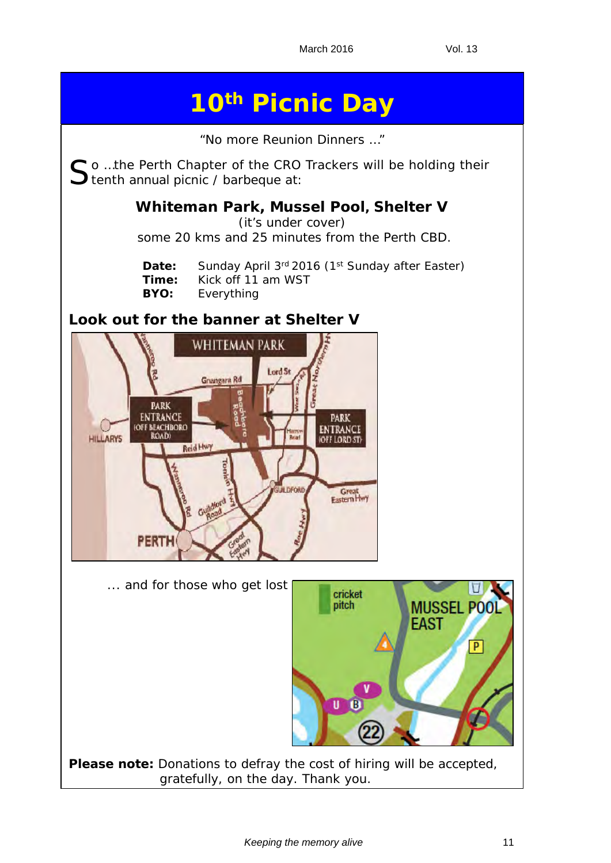